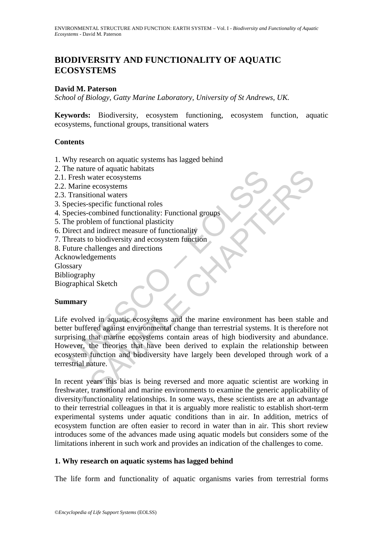# **BIODIVERSITY AND FUNCTIONALITY OF AQUATIC ECOSYSTEMS**

### **David M. Paterson**

*School of Biology, Gatty Marine Laboratory, University of St Andrews, UK.* 

**Keywords:** Biodiversity, ecosystem functioning, ecosystem function, aquatic ecosystems, functional groups, transitional waters

### **Contents**

- 1. Why research on aquatic systems has lagged behind
- 2. The nature of aquatic habitats
- 2.1. Fresh water ecosystems
- 2.2. Marine ecosystems
- 2.3. Transitional waters
- 3. Species-specific functional roles
- 4. Species-combined functionality: Functional groups
- 5. The problem of functional plasticity
- 6. Direct and indirect measure of functionality
- 7. Threats to biodiversity and ecosystem function
- 8. Future challenges and directions
- Acknowledgements

Glossary

- Bibliography
- Biographical Sketch

#### **Summary**

Fresh water or aquatic naonals<br>
Fresh water ecosystems<br>
Transitional waters<br>
pecies-specific functional roles<br>
pecies-combined functionality: Functional groups<br>
he problem of functional plasticity<br>
interet and indirect mea The or aquatic national molecular consistents<br>water ecosystems<br>ecosystems<br>consider directional roles<br>combined functional roles<br>combined functional roles<br>combined functional roles<br>consider more of functionality<br>dialenges an Life evolved in aquatic ecosystems and the marine environment has been stable and better buffered against environmental change than terrestrial systems. It is therefore not surprising that marine ecosystems contain areas of high biodiversity and abundance. However, the theories that have been derived to explain the relationship between ecosystem function and biodiversity have largely been developed through work of a terrestrial nature.

In recent years this bias is being reversed and more aquatic scientist are working in freshwater, transitional and marine environments to examine the generic applicability of diversity/functionality relationships. In some ways, these scientists are at an advantage to their terrestrial colleagues in that it is arguably more realistic to establish short-term experimental systems under aquatic conditions than in air. In addition, metrics of ecosystem function are often easier to record in water than in air. This short review introduces some of the advances made using aquatic models but considers some of the limitations inherent in such work and provides an indication of the challenges to come.

#### **1. Why research on aquatic systems has lagged behind**

The life form and functionality of aquatic organisms varies from terrestrial forms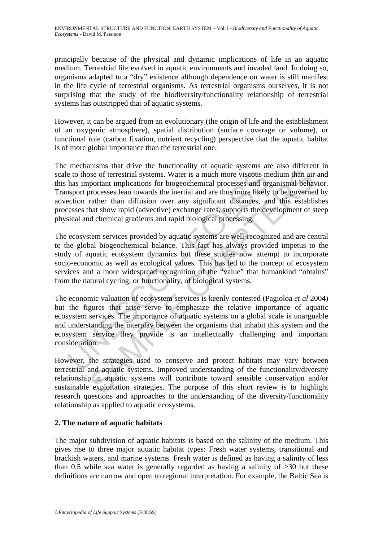principally because of the physical and dynamic implications of life in an aquatic medium. Terrestrial life evolved in aquatic environments and invaded land. In doing so, organisms adapted to a "dry" existence although dependence on water is still manifest in the life cycle of terrestrial organisms. As terrestrial organisms ourselves, it is not surprising that the study of the biodiversity/functionality relationship of terrestrial systems has outstripped that of aquatic systems.

However, it can be argued from an evolutionary (the origin of life and the establishment of an oxygenic atmosphere), spatial distribution (surface coverage or volume), or functional role (carbon fixation, nutrient recycling) perspective that the aquatic habitat is of more global importance than the terrestrial one.

e to those of terrestrial systems. Water is a much more viscous m<br>has important implications for biogeochemical processes and or<br>sport processes lean towards the inertial and are thus more likely<br>ection rather than diffusi See of terrestrial systems. Water is a much more viscous medium than air<br>portant implications for biogeochemical processes and organismal behave<br>processes lean towards the inertial and are thus more likely to be governe.<br>T The mechanisms that drive the functionality of aquatic systems are also different in scale to those of terrestrial systems. Water is a much more viscous medium than air and this has important implications for biogeochemical processes and organismal behavior. Transport processes lean towards the inertial and are thus more likely to be governed by advection rather than diffusion over any significant distances, and this establishes processes that show rapid (advective) exchange rates, supports the development of steep physical and chemical gradients and rapid biological processing.

The ecosystem services provided by aquatic systems are well-recognized and are central to the global biogeochemical balance. This fact has always provided impetus to the study of aquatic ecosystem dynamics but these studies now attempt to incorporate socio-economic as well as ecological values. This has led to the concept of ecosystem services and a more widespread recognition of the "value" that humankind "obtains" from the natural cycling, or functionality, of biological systems.

The economic valuation of ecosystem services is keenly contested (Pagioloa *et al* 2004) but the figures that arise serve to emphasize the relative importance of aquatic ecosystem services. The importance of aquatic systems on a global scale is unarguable and understanding the interplay between the organisms that inhabit this system and the ecosystem service they provide is an intellectually challenging and important consideration.

However, the strategies used to conserve and protect habitats may vary between terrestrial and aquatic systems. Improved understanding of the functionality/diversity relationship in aquatic systems will contribute toward sensible conservation and/or sustainable exploitation strategies. The purpose of this short review is to highlight research questions and approaches to the understanding of the diversity/functionality relationship as applied to aquatic ecosystems.

## **2. The nature of aquatic habitats**

The major subdivision of aquatic habitats is based on the salinity of the medium. This gives rise to three major aquatic habitat types: Fresh water systems, transitional and brackish waters, and marine systems. Fresh water is defined as having a salinity of less than 0.5 while sea water is generally regarded as having a salinity of >30 but these definitions are narrow and open to regional interpretation. For example, the Baltic Sea is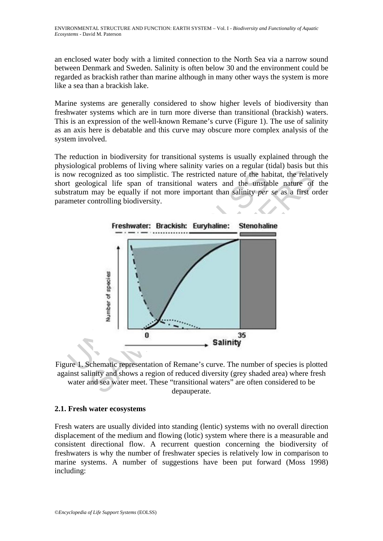an enclosed water body with a limited connection to the North Sea via a narrow sound between Denmark and Sweden. Salinity is often below 30 and the environment could be regarded as brackish rather than marine although in many other ways the system is more like a sea than a brackish lake.

Marine systems are generally considered to show higher levels of biodiversity than freshwater systems which are in turn more diverse than transitional (brackish) waters. This is an expression of the well-known Remane's curve (Figure 1). The use of salinity as an axis here is debatable and this curve may obscure more complex analysis of the system involved.

The reduction in biodiversity for transitional systems is usually explained through the physiological problems of living where salinity varies on a regular (tidal) basis but this is now recognized as too simplistic. The restricted nature of the habitat, the relatively short geological life span of transitional waters and the unstable nature of the substratum may be equally if not more important than salinity *per se* as a first order parameter controlling biodiversity.



Figure 1. Schematic representation of Remane's curve. The number of species is plotted against salinity and shows a region of reduced diversity (grey shaded area) where fresh water and sea water meet. These "transitional waters" are often considered to be depauperate.

## **2.1. Fresh water ecosystems**

Fresh waters are usually divided into standing (lentic) systems with no overall direction displacement of the medium and flowing (lotic) system where there is a measurable and consistent directional flow. A recurrent question concerning the biodiversity of freshwaters is why the number of freshwater species is relatively low in comparison to marine systems. A number of suggestions have been put forward (Moss 1998) including: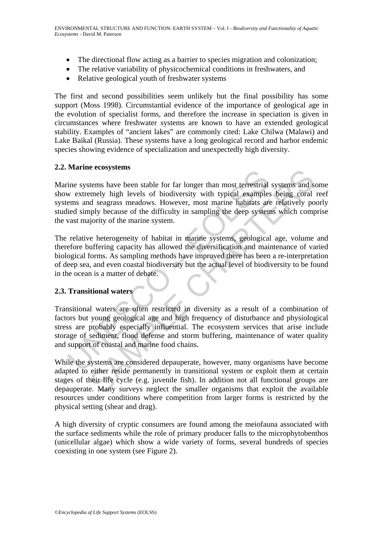- The directional flow acting as a barrier to species migration and colonization;
- The relative variability of physicochemical conditions in freshwaters, and
- Relative geological youth of freshwater systems

The first and second possibilities seem unlikely but the final possibility has some support (Moss 1998). Circumstantial evidence of the importance of geological age in the evolution of specialist forms, and therefore the increase in speciation is given in circumstances where freshwater systems are known to have an extended geological stability. Examples of "ancient lakes" are commonly cited: Lake Chilwa (Malawi) and Lake Baikal (Russia). These systems have a long geological record and harbor endemic species showing evidence of specialization and unexpectedly high diversity.

### **2.2. Marine ecosystems**

France ecosystems<br>ine systems have been stable for far longer than most terrestrial<br>w extremely high levels of biodiversity with typical examples<br>ems and seagrass meadows. However, most marine habitats are<br>ided simply beca Example high levels of for alonger than most terrestrial systems and set<br>tems have been stable for far longer than most terrestrial systems and seal with the velso of biodiversity with typical examples being coral<br>and seag Marine systems have been stable for far longer than most terrestrial systems and some show extremely high levels of biodiversity with typical examples being coral reef systems and seagrass meadows. However, most marine habitats are relatively poorly studied simply because of the difficulty in sampling the deep systems which comprise the vast majority of the marine system.

The relative heterogeneity of habitat in marine systems, geological age, volume and therefore buffering capacity has allowed the diversification and maintenance of varied biological forms. As sampling methods have improved there has been a re-interpretation of deep sea, and even coastal biodiversity but the actual level of biodiversity to be found in the ocean is a matter of debate.

## **2.3. Transitional waters**

Transitional waters are often restricted in diversity as a result of a combination of factors but young geological age and high frequency of disturbance and physiological stress are probably especially influential. The ecosystem services that arise include storage of sediment, flood defense and storm buffering, maintenance of water quality and support of coastal and marine food chains.

While the systems are considered depauperate, however, many organisms have become adapted to either reside permanently in transitional system or exploit them at certain stages of their life cycle (e.g. juvenile fish). In addition not all functional groups are depauperate. Many surveys neglect the smaller organisms that exploit the available resources under conditions where competition from larger forms is restricted by the physical setting (shear and drag).

A high diversity of cryptic consumers are found among the meiofauna associated with the surface sediments while the role of primary producer falls to the microphytobenthos (unicellular algae) which show a wide variety of forms, several hundreds of species coexisting in one system (see Figure 2).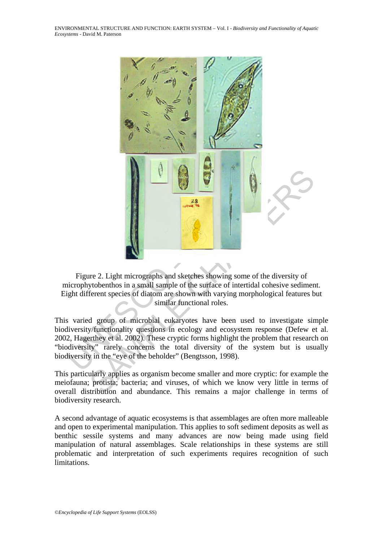

Figure 2. Light micrographs and sketches showing some of the diversity of microphytobenthos in a small sample of the surface of intertidal cohesive sediment. Eight different species of diatom are shown with varying morphological features but similar functional roles.

This varied group of microbial eukaryotes have been used to investigate simple biodiversity/functionality questions in ecology and ecosystem response (Defew et al. 2002, Hagerthey et al. 2002). These cryptic forms highlight the problem that research on "biodiversity" rarely concerns the total diversity of the system but is usually biodiversity in the "eye of the beholder" (Bengtsson, 1998).

This particularly applies as organism become smaller and more cryptic: for example the meiofauna; protista; bacteria; and viruses, of which we know very little in terms of overall distribution and abundance. This remains a major challenge in terms of biodiversity research.

A second advantage of aquatic ecosystems is that assemblages are often more malleable and open to experimental manipulation. This applies to soft sediment deposits as well as benthic sessile systems and many advances are now being made using field manipulation of natural assemblages. Scale relationships in these systems are still problematic and interpretation of such experiments requires recognition of such limitations.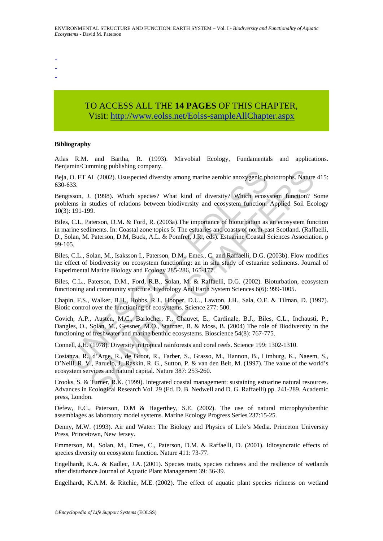- -
- -
- -

# TO ACCESS ALL THE **14 PAGES** OF THIS CHAPTER, Visit[: http://www.eolss.net/Eolss-sampleAllChapter.aspx](https://www.eolss.net/ebooklib/sc_cart.aspx?File=E4-27-02-06)

#### **Bibliography**

Atlas R.M. and Bartha, R. (1993). Mirvobial Ecology, Fundamentals and applications. Benjamin/Cumming publishing company.

Beja, O. ET AL (2002). Ususpected diversity among marine aerobic anoxygenic phototrophs. Nature 415: 630-633.

Bengtsson, J. (1998). Which species? What kind of diversity? Which ecosystem function? Some problems in studies of relations between biodiversity and ecosystem function. Applied Soil Ecology 10(3): 191-199.

, O. ET AL (2002). Ususpected diversity among marine aerobic anoxygenic ph<br>
633.<br>
ttsson, J. (1998). Which species? What kind of diversity? Which ecosy<br>
ttsson, J. (1998). Which species? What kind of diversity? Which ecosy ML. (2002). Ususpected diversity among marine aerobic anoxygenic phototrophs. Nature<br>
1. (1998). Which species? What kind of diversity? Which ecosystem function? Studies of relations between biodiversity and ecosystem func Biles, C.L, Paterson, D.M**.** & Ford, R. (2003a).The importance of bioturbation as an ecosystem function in marine sediments. In: Coastal zone topics 5: The estuaries and coasts of north-east Scotland. (Raffaelli, D., Solan, M. Paterson, D.M, Buck, A.L. & Pomfret, J.R., eds). Estuarine Coastal Sciences Association. p 99-105.

Biles, C.L., Solan, M., Isaksson I., Paterson, D.M., Emes., C. and Raffaelli, D.G. (2003b). Flow modifies the effect of biodiversity on ecosystem functioning: an in situ study of estuarine sediments. Journal of Experimental Marine Biology and Ecology 285-286, 165-177.

Biles, C.L., Paterson, D.M., Ford, R.B., Solan, M. & Raffaelli, D.G. (2002). Bioturbation, ecosystem functioning and community structure. Hydrology And Earth System Sciences 6(6): 999-1005.

Chapin, F.S., Walker, B.H., Hobbs, R.J., Hooper, D.U., Lawton, J.H., Sala, O.E. & Tilman, D. (1997). Biotic control over the functioning of ecosystems. Science 277: 500.

Covich, A.P., Austen, M.C., Barlocher, F., Chauvet, E., Cardinale, B.J., Biles, C.L., Inchausti, P., Dangles, O., Solan, M., Gessner, M.O., Statzner, B. & Moss, B. **(**2004) The role of Biodiversity in the functioning of freshwater and marine benthic ecosystems. Bioscience 54(8): 767-775.

Connell, J.H. (1978). Diversity in tropical rainforests and coral reefs. Science 199: 1302-1310.

Costanza, R., d'Arge, R., de Groot, R., Farber, S., Grasso, M., Hannon, B., Limburg, K., Naeem, S., O'Neill, R. V., Paruelo, J., Raskin, R. G., Sutton, P. & van den Belt, M. (1997). The value of the world's ecosystem services and natural capital. Nature 387: 253-260.

Crooks, S. & Turner, R.K. (1999). Integrated coastal management: sustaining estuarine natural resources. Advances in Ecological Research Vol. 29 (Ed. D. B. Nedwell and D. G. Raffaelli) pp. 241-289. Academic press, London.

Defew, E.C., Paterson, D.M & Hagerthey, S.E. (2002). The use of natural microphytobenthic assemblages as laboratory model systems. Marine Ecology Progress Series 237:15-25.

Denny, M.W. (1993). Air and Water: The Biology and Physics of Life's Media. Princeton University Press, Princetown, New Jersey.

Emmerson, M., Solan, M., Emes, C., Paterson, D.M. & Raffaelli, D. (2001). Idiosyncratic effects of species diversity on ecosystem function. Nature 411: 73-77.

Engelhardt, K.A. & Kadlec, J.A. (2001). Species traits, species richness and the resilience of wetlands after disturbance Journal of Aquatic Plant Management 39: 36-39.

Engelhardt, K.A.M. & Ritchie, M.E. (2002). The effect of aquatic plant species richness on wetland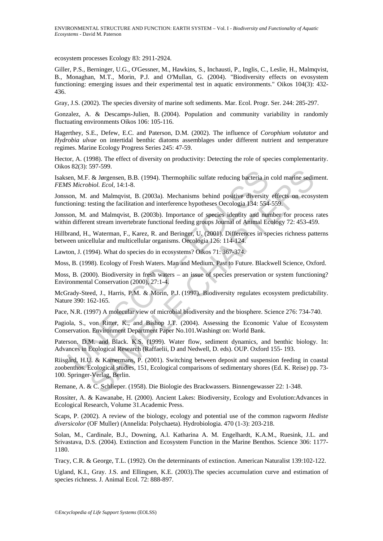ecosystem processes Ecology 83: 2911-2924.

Giller, P.S., Berninger, U.G., O'Gessner, M., Hawkins, S., Inchausti, P., Inglis, C., Leslie, H., Malmqvist, B., Monaghan, M.T., Morin, P.J. and O'Mullan, G. (2004). "Biodiversity effects on evosystem functioning: emerging issues and their experimental test in aquatic environments." Oikos 104(3): 432- 436.

Gray, J.S. (2002). The species diversity of marine soft sediments. Mar. Ecol. Progr. Ser. 244: 285-297.

Gonzalez, A. & Descamps-Julien, B. (2004). Population and community variability in randomly fluctuating environments Oikos 106: 105-116.

Hagerthey, S.E., Defew, E.C. and Paterson, D.M. (2002). The influence of *Corophium volutator* and *Hydrobia ulvae* on intertidal benthic diatoms assemblages under different nutrient and temperature regimes. Marine Ecology Progress Series 245: 47-59.

Hector, A. (1998). The effect of diversity on productivity: Detecting the role of species complementarity. Oikos 82(3): 597-599.

Isaksen, M.F. & Jørgensen, B.B. (1994). Thermophilic sulfate reducing bacteria in cold marine sediment. *FEMS Microbiol. Ecol,* 14:1-8.

Jonsson, M. and Malmqvist, B. (2003a). Mechanisms behind positive diversity effects on ecosystem functioning: testing the facilitation and interference hypotheses Oecologia 134: 554-559.

Jonsson, M. and Malmqvist, B. (2003b). Importance of species identity and number for process rates within different stream invertebrate functional feeding groups Journal of Animal Ecology 72: 453-459.

Hillbrand, H., Waterman, F., Karez, R. and Beringer, U. (2001). Differences in species richness patterns between unicellular and multicellular organisms. Oecologia 126: 114-124.

Lawton, J. (1994). What do species do in ecosystems? Oikos 71: 367-374.

Moss, B. (1998). Ecology of Fresh Waters. Man and Medium, Past to Future. Blackwell Science, Oxford.

Moss, B. (2000). Biodiversity in fresh waters – an issue of species preservation or system functioning? Environmental Conservation (2000), 27:1-4.

McGrady-Steed, J., Harris, P.M. & Morin, P.J. (1997). Biodiversity regulates ecosystem predictability. Nature 390: 162-165.

Pace, N.R. (1997) A molecular view of microbial biodiversity and the biosphere. Science 276: 734-740.

Pagiola, S., von Ritter, K., and Bishop J.T. (2004). Assessing the Economic Value of Ecosystem Conservation. Environment Department Paper No.101.Washingt on: World Bank.

Paterson, D.M. and Black. K.S. (1999). Water flow, sediment dynamics, and benthic biology. In: Advances in Ecological Research (Raffaelii, D and Nedwell, D. eds). OUP. Oxford 155- 193.

en, M.F. & Jørgensen, B.B. (1994). Thermophilic sulfate reducing bacteria in<br>
IS Microbiol. Ecol, 14:1-8.<br>
Son, M. and Malmqvist, B. (2003a). Mechanisms behind positive diversity<br>
ioning: testing the facilitation and inter S. Brygnsen, B.B. (1994). Thermophilic sulfate reducing bacteria in cold marine sedibiol. Ecol, 14:1-8.<br>
and Malmqvist, B. (2003a). Mechanisms behind positive diversity effects on ecosy<br>
esting the facilitation and interfe Riisgård, H.U. & Kamermans, P. (2001). Switching between deposit and suspension feeding in coastal zoobenthos. Ecological studies, 151*,* Ecological comparisons of sedimentary shores (Ed. K. Reise) pp. 73- 100. Springer-Verlag, Berlin.

Remane, A. & C. Schlieper. (1958). Die Biologie des Brackwassers. Binnengewasser 22: 1-348.

Rossiter, A. & Kawanabe, H. (2000). Ancient Lakes: Biodiversity, Ecology and Evolution:Advances in Ecological Research, Volume 31.Academic Press.

Scaps, P. (2002). A review of the biology, ecology and potential use of the common ragworm *Hediste diversicolor* (OF Muller) (Annelida: Polychaeta). Hydrobiologia. 470 (1-3): 203-218.

Solan, M., Cardinale, B.J., Downing, A.l. Katharina A. M. Engelhardt, K.A.M., Ruesink, J.L. and Srivastava, D.S. (2004). Extinction and Ecosystem Function in the Marine Benthos. Science 306: 1177- 1180.

Tracy, C.R. & George, T.L. (1992). On the determinants of extinction. American Naturalist 139:102-122.

Ugland, K.I., Gray. J.S. and Ellingsen, K.E. (2003).The species accumulation curve and estimation of species richness. J. Animal Ecol. 72: 888-897.